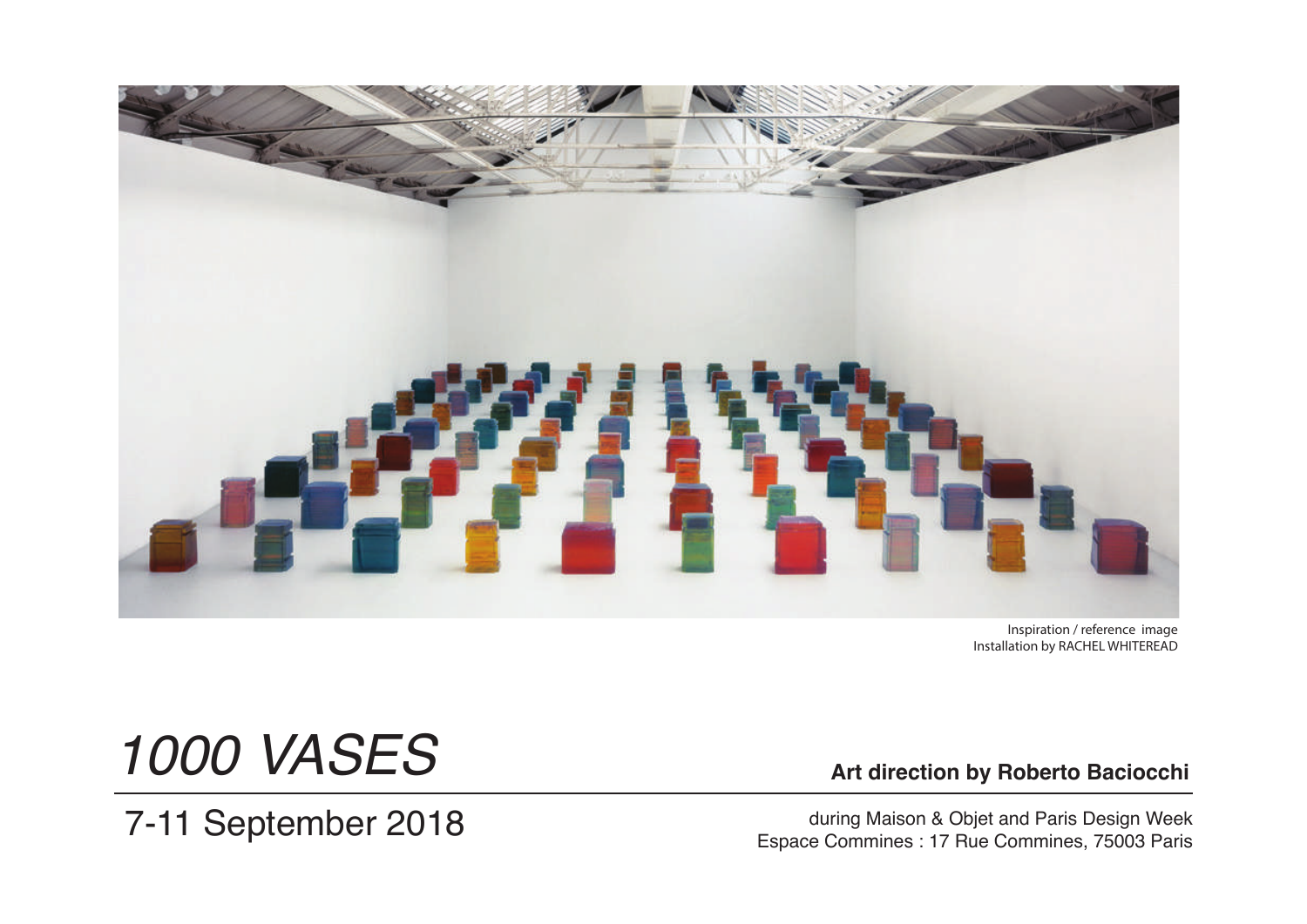

Inspiration / reference image Installation by RACHEL WHITEREAD

# *1000 VASES*

7-11 September 2018

 **Art direction by Roberto Baciocchi**

during Maison & Objet and Paris Design Week<br>Espace Commines : 17 Rue Commines, 75003 Paris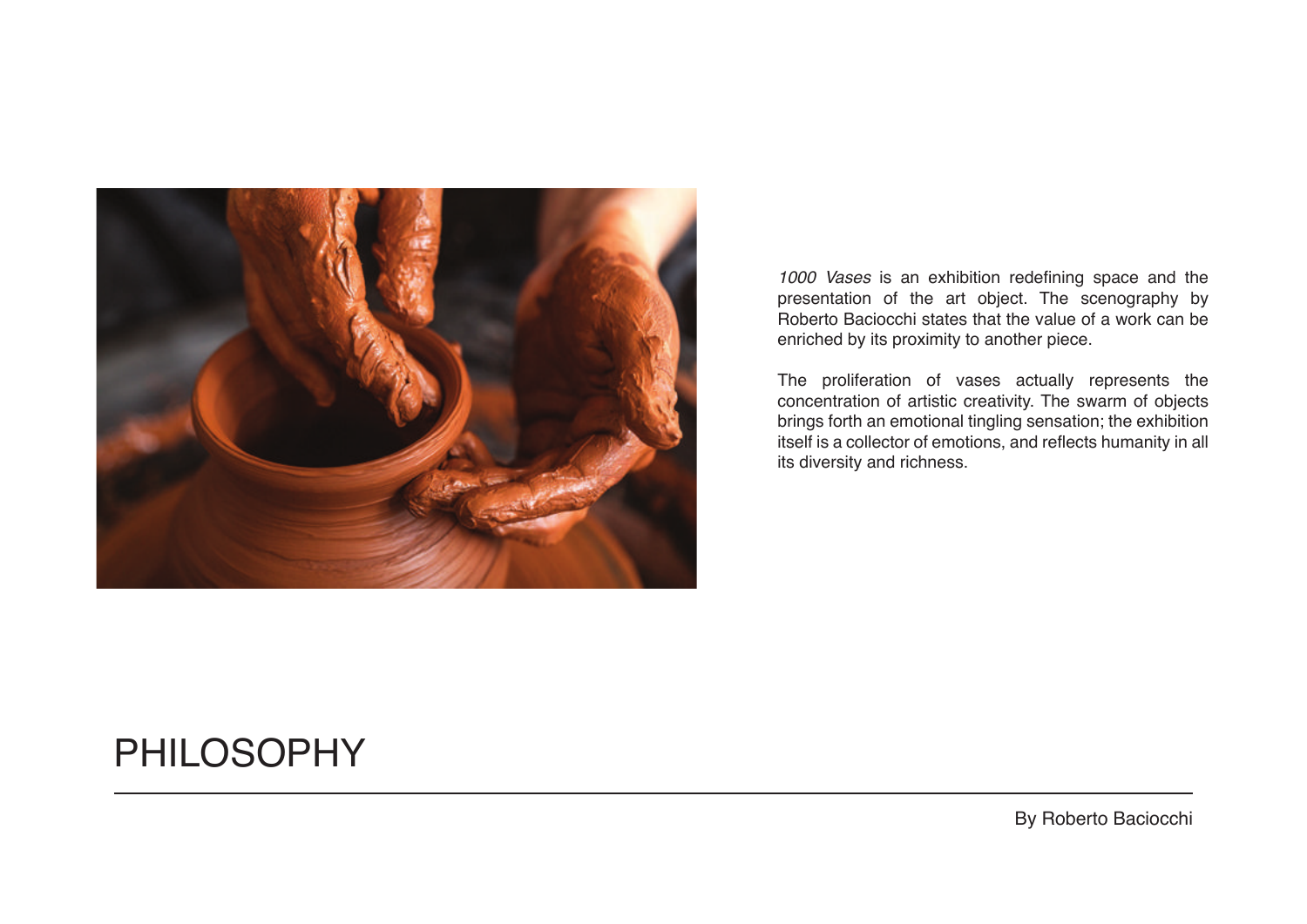

*1000 Vases* is an exhibition redefining space and the presentation of the art object. The scenography by Roberto Baciocchi states that the value of a work can be enriched by its proximity to another piece.

The proliferation of vases actually represents the concentration of artistic creativity. The swarm of objects brings forth an emotional tingling sensation; the exhibition itself is a collector of emotions, and reflects humanity in all its diversity and richness.

#### PHILOSOPHY

By Roberto Baciocchi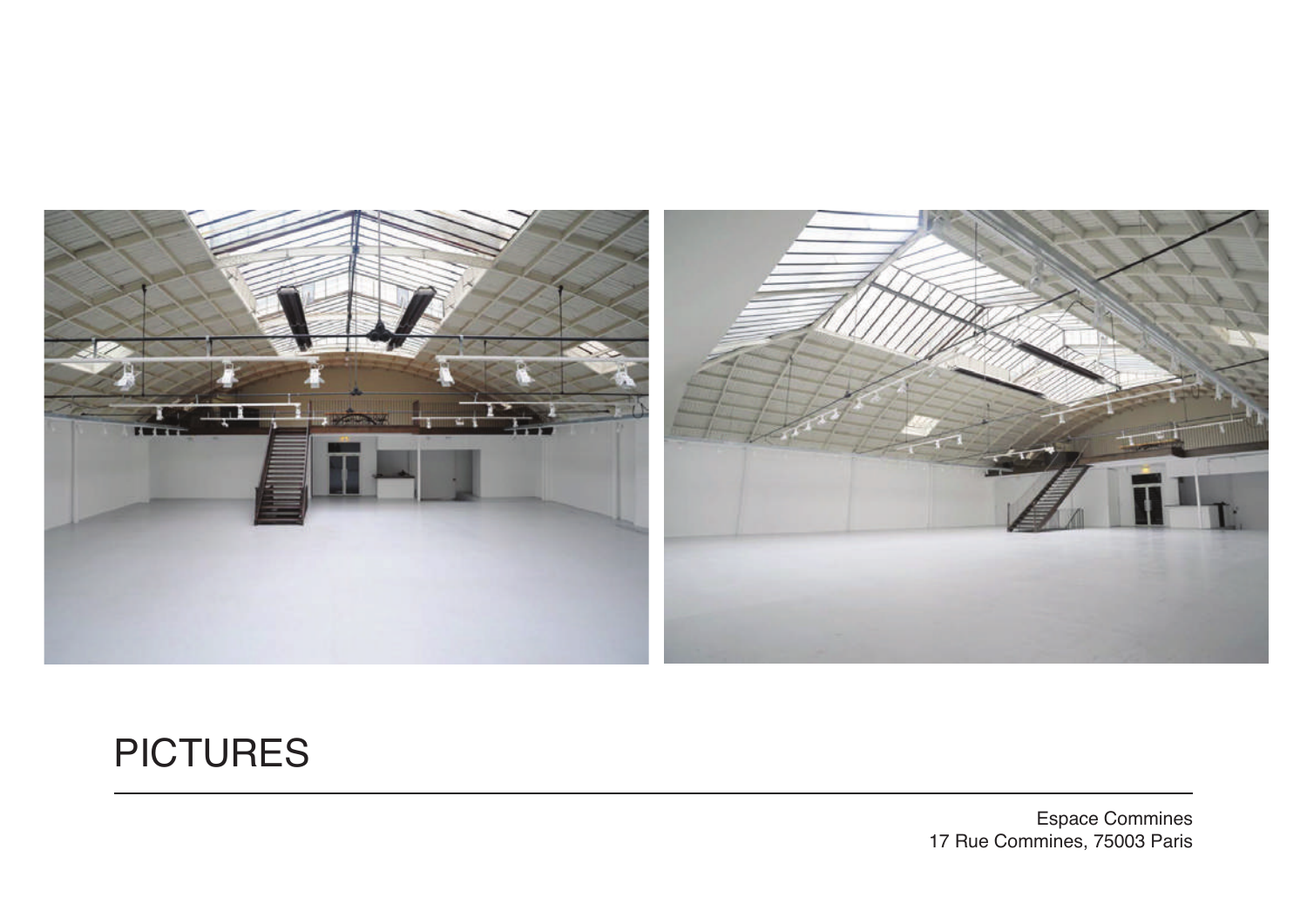

## **PICTURES**

Espace Commines 17 Rue Commines, 75003 Paris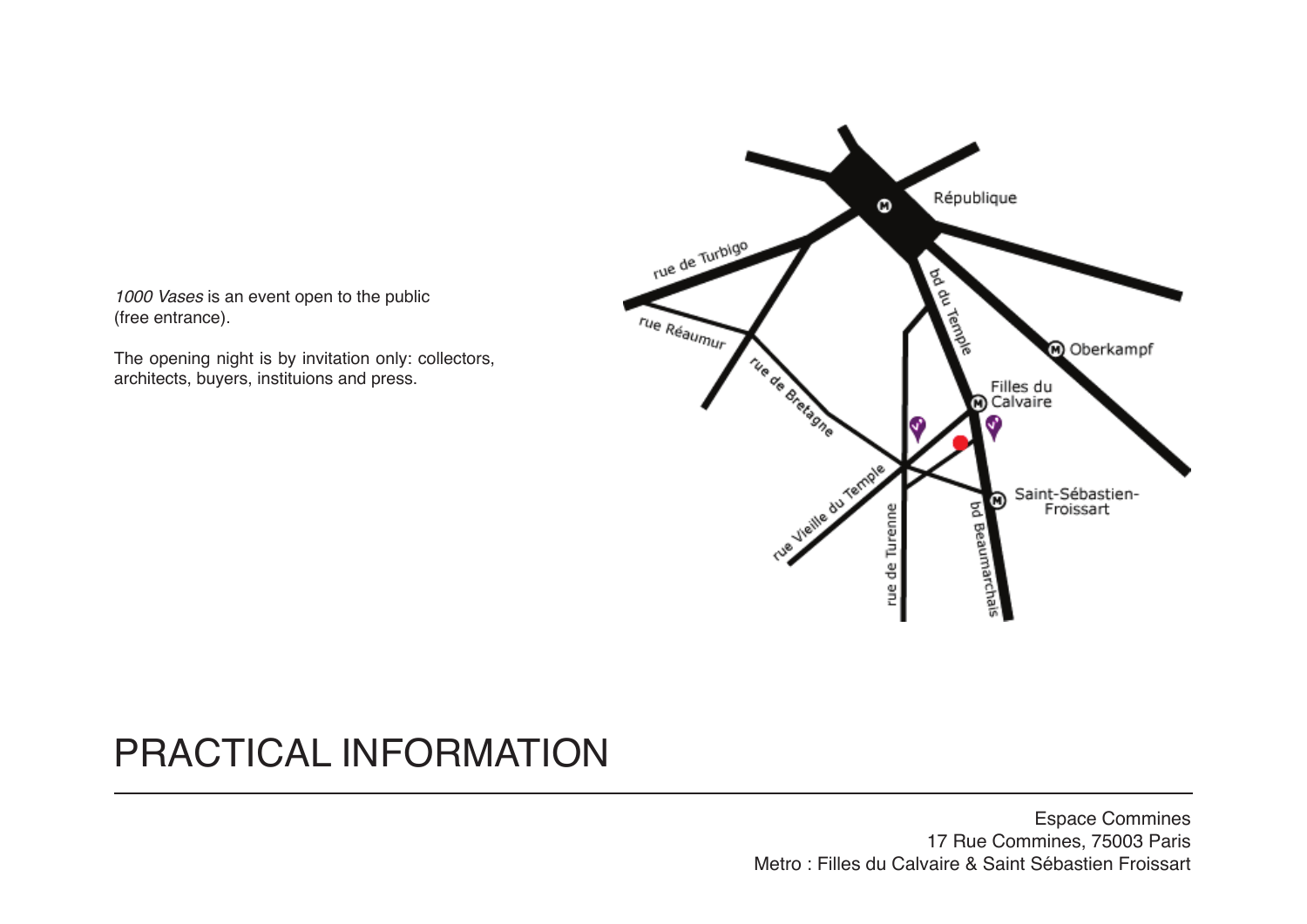1000 Vases is an event open to the public (free entrance).

The opening night is by invitation only: collectors, architects, buyers, instituions and press.



### PRACTICAL INFORMATION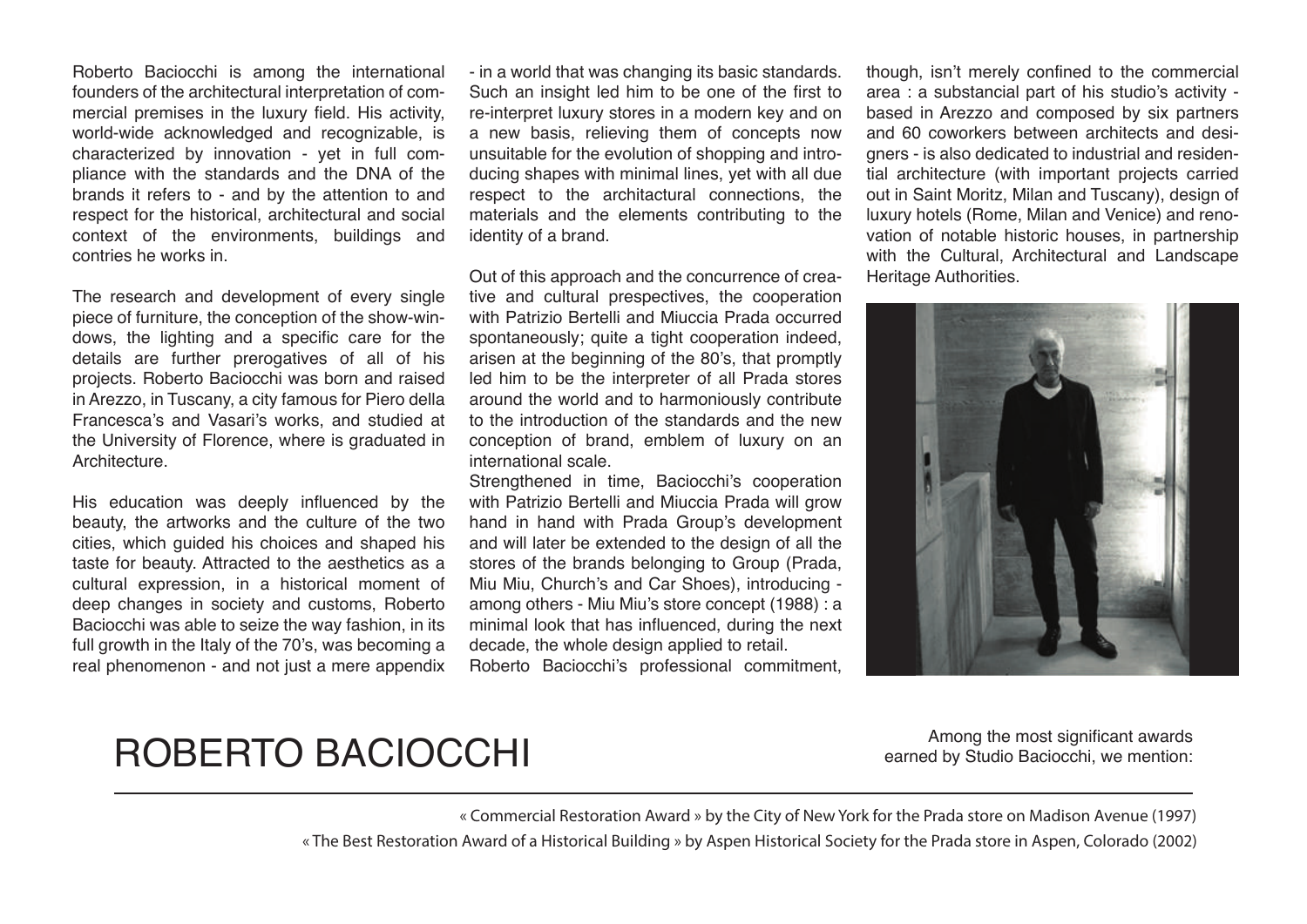Roberto Baciocchi is among the international founders of the architectural interpretation of commercial premises in the luxury field. His activity, world-wide acknowledged and recognizable, is characterized by innovation - yet in full compliance with the standards and the DNA of the brands it refers to - and by the attention to and respect for the historical, architectural and social context of the environments, buildings and contries he works in.

The research and development of every single piece of furniture, the conception of the show-windows, the lighting and a specific care for the details are further prerogatives of all of his projects. Roberto Baciocchi was born and raised in Arezzo, in Tuscany, a city famous for Piero della Francesca's and Vasari's works, and studied at the University of Florence, where is graduated in **Architecture** 

His education was deeply influenced by the beauty, the artworks and the culture of the two cities, which guided his choices and shaped his taste for beauty. Attracted to the aesthetics as a cultural expression, in a historical moment of deep changes in society and customs, Roberto Baciocchi was able to seize the way fashion, in its full growth in the Italy of the 70's, was becoming a real phenomenon - and not just a mere appendix - in a world that was changing its basic standards. Such an insight led him to be one of the first to re-interpret luxury stores in a modern key and on a new basis, relieving them of concepts now unsuitable for the evolution of shopping and introducing shapes with minimal lines, yet with all due respect to the architactural connections, the materials and the elements contributing to the identity of a brand.

Out of this approach and the concurrence of creative and cultural prespectives, the cooperation with Patrizio Bertelli and Miuccia Prada occurred spontaneously; quite a tight cooperation indeed, arisen at the beginning of the 80's, that promptly led him to be the interpreter of all Prada stores around the world and to harmoniously contribute to the introduction of the standards and the new conception of brand, emblem of luxury on an international scale.

Strengthened in time, Baciocchi's cooperation with Patrizio Bertelli and Miuccia Prada will grow hand in hand with Prada Group's development and will later be extended to the design of all the stores of the brands belonging to Group (Prada, Miu Miu, Church's and Car Shoes), introducing among others - Miu Miu's store concept (1988) : a minimal look that has influenced, during the next decade, the whole design applied to retail. Roberto Baciocchi's professional commitment,

though, isn't merely confined to the commercial area : a substancial part of his studio's activity based in Arezzo and composed by six partners and 60 coworkers between architects and designers - is also dedicated to industrial and residential architecture (with important projects carried out in Saint Moritz, Milan and Tuscany), design of luxury hotels (Rome, Milan and Venice) and renovation of notable historic houses, in partnership with the Cultural, Architectural and Landscape Heritage Authorities.



#### ROBERTO BACIOCCHI

Among the most significant awards earned by Studio Baciocchi, we mention:

« Commercial Restoration Award » by the City of New York for the Prada store on Madison Avenue (1997)

« The Best Restoration Award of a Historical Building » by Aspen Historical Society for the Prada store in Aspen, Colorado (2002)